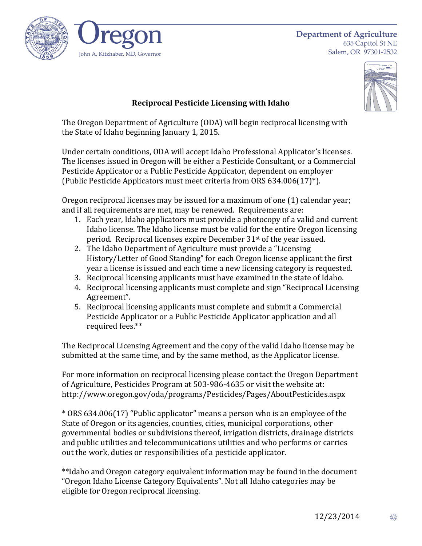

635 Capitol St NE Salem, OR 97301-2532



## **Reciprocal Pesticide Licensing with Idaho**

The Oregon Department of Agriculture (ODA) will begin reciprocal licensing with the State of Idaho beginning January 1, 2015.

Under certain conditions, ODA will accept Idaho Professional Applicator's licenses. The licenses issued in Oregon will be either a Pesticide Consultant, or a Commercial Pesticide Applicator or a Public Pesticide Applicator, dependent on employer (Public Pesticide Applicators must meet criteria from ORS  $634.006(17)^{*}$ ).

Oregon reciprocal licenses may be issued for a maximum of one  $(1)$  calendar year; and if all requirements are met, may be renewed. Requirements are:

- 1. Each year, Idaho applicators must provide a photocopy of a valid and current Idaho license. The Idaho license must be valid for the entire Oregon licensing period. Reciprocal licenses expire December 31<sup>st</sup> of the year issued.
- 2. The Idaho Department of Agriculture must provide a "Licensing" History/Letter of Good Standing" for each Oregon license applicant the first year a license is issued and each time a new licensing category is requested.
- 3. Reciprocal licensing applicants must have examined in the state of Idaho.
- 4. Reciprocal licensing applicants must complete and sign "Reciprocal Licensing Agreement".
- 5. Reciprocal licensing applicants must complete and submit a Commercial Pesticide Applicator or a Public Pesticide Applicator application and all required fees.\*\*

The Reciprocal Licensing Agreement and the copy of the valid Idaho license may be submitted at the same time, and by the same method, as the Applicator license.

For more information on reciprocal licensing please contact the Oregon Department of Agriculture, Pesticides Program at 503-986-4635 or visit the website at: http://www.oregon.gov/oda/programs/Pesticides/Pages/AboutPesticides.aspx

\* ORS 634.006(17) "Public applicator" means a person who is an employee of the State of Oregon or its agencies, counties, cities, municipal corporations, other governmental bodies or subdivisions thereof, irrigation districts, drainage districts and public utilities and telecommunications utilities and who performs or carries out the work, duties or responsibilities of a pesticide applicator.

\*\*Idaho and Oregon category equivalent information may be found in the document "Oregon Idaho License Category Equivalents". Not all Idaho categories may be eligible for Oregon reciprocal licensing.